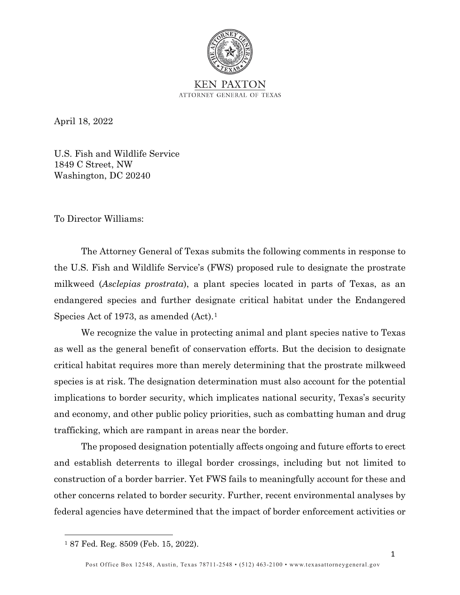

April 18, 2022

U.S. Fish and Wildlife Service 1849 C Street, NW Washington, DC 20240

To Director Williams:

The Attorney General of Texas submits the following comments in response to the U.S. Fish and Wildlife Service's (FWS) proposed rule to designate the prostrate milkweed (*Asclepias prostrata*), a plant species located in parts of Texas, as an endangered species and further designate critical habitat under the Endangered Species Act of [1](#page-0-0)973, as amended (Act).<sup>1</sup>

We recognize the value in protecting animal and plant species native to Texas as well as the general benefit of conservation efforts. But the decision to designate critical habitat requires more than merely determining that the prostrate milkweed species is at risk. The designation determination must also account for the potential implications to border security, which implicates national security, Texas's security and economy, and other public policy priorities, such as combatting human and drug trafficking, which are rampant in areas near the border.

The proposed designation potentially affects ongoing and future efforts to erect and establish deterrents to illegal border crossings, including but not limited to construction of a border barrier. Yet FWS fails to meaningfully account for these and other concerns related to border security. Further, recent environmental analyses by federal agencies have determined that the impact of border enforcement activities or

<span id="page-0-0"></span><sup>1</sup> 87 Fed. Reg. 8509 (Feb. 15, 2022).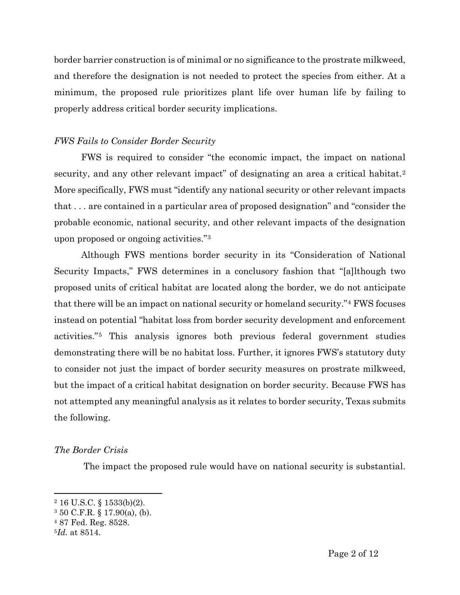border barrier construction is of minimal or no significance to the prostrate milkweed, and therefore the designation is not needed to protect the species from either. At a minimum, the proposed rule prioritizes plant life over human life by failing to properly address critical border security implications.

# *FWS Fails to Consider Border Security*

FWS is required to consider "the economic impact, the impact on national security, and any other relevant impact" of designating an area a critical habitat.<sup>[2](#page-1-0)</sup> More specifically, FWS must "identify any national security or other relevant impacts that . . . are contained in a particular area of proposed designation" and "consider the probable economic, national security, and other relevant impacts of the designation upon proposed or ongoing activities."[3](#page-1-1)

Although FWS mentions border security in its "Consideration of National Security Impacts," FWS determines in a conclusory fashion that "[a]lthough two proposed units of critical habitat are located along the border, we do not anticipate that there will be an impact on national security or homeland security."[4](#page-1-2) FWS focuses instead on potential "habitat loss from border security development and enforcement activities."[5](#page-1-3) This analysis ignores both previous federal government studies demonstrating there will be no habitat loss. Further, it ignores FWS's statutory duty to consider not just the impact of border security measures on prostrate milkweed, but the impact of a critical habitat designation on border security. Because FWS has not attempted any meaningful analysis as it relates to border security, Texas submits the following.

## *The Border Crisis*

The impact the proposed rule would have on national security is substantial.

<span id="page-1-0"></span> $2$  16 U.S.C. § 1533(b)(2).

<span id="page-1-1"></span><sup>3</sup> 50 C.F.R. § 17.90(a), (b).

<span id="page-1-2"></span><sup>4</sup> 87 Fed. Reg. 8528.

<span id="page-1-3"></span><sup>5</sup>*Id.* at 8514.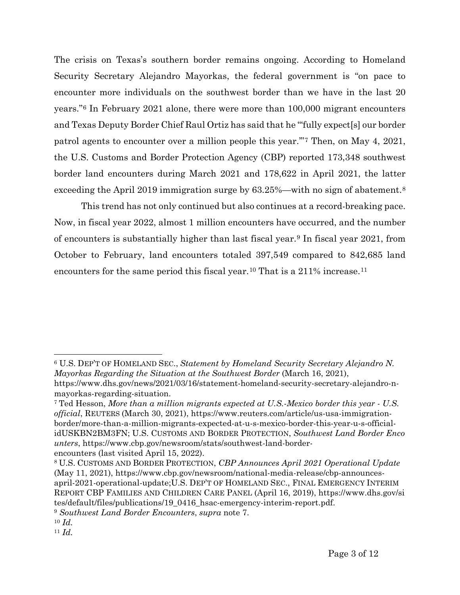The crisis on Texas's southern border remains ongoing. According to Homeland Security Secretary Alejandro Mayorkas, the federal government is "on pace to encounter more individuals on the southwest border than we have in the last 20 years."[6](#page-2-0) In February 2021 alone, there were more than 100,000 migrant encounters and Texas Deputy Border Chief Raul Ortiz has said that he "'fully expect[s] our border patrol agents to encounter over a million people this year.'"[7](#page-2-1) Then, on May 4, 2021, the U.S. Customs and Border Protection Agency (CBP) reported 173,348 southwest border land encounters during March 2021 and 178,622 in April 2021, the latter exceeding the April 2019 immigration surge by 63.25%—with no sign of abatement.<sup>[8](#page-2-2)</sup>

This trend has not only continued but also continues at a record-breaking pace. Now, in fiscal year 2022, almost 1 million encounters have occurred, and the number of encounters is substantially higher than last fiscal year.[9](#page-2-3) In fiscal year 2021, from October to February, land encounters totaled 397,549 compared to 842,685 land encounters for the same period this fiscal year.<sup>[10](#page-2-4)</sup> That is a 2[11](#page-2-5)% increase.<sup>11</sup>

<span id="page-2-0"></span><sup>6</sup> U.S. DEP'T OF HOMELAND SEC., *Statement by Homeland Security Secretary Alejandro N. Mayorkas Regarding the Situation at the Southwest Border* (March 16, 2021), https://www.dhs.gov/news/2021/03/16/statement-homeland-security-secretary-alejandro-nmayorkas-regarding-situation.

<span id="page-2-1"></span><sup>7</sup> Ted Hesson, *More than a million migrants expected at U.S.-Mexico border this year - U.S. official*, REUTERS (March 30, 2021), https://www.reuters.com/article/us-usa-immigrationborder/more-than-a-million-migrants-expected-at-u-s-mexico-border-this-year-u-s-officialidUSKBN2BM3FN; U.S. CUSTOMS AND BORDER PROTECTION, *Southwest Land Border Enco unters*, https://www.cbp.gov/newsroom/stats/southwest-land-borderencounters (last visited April 15, 2022).

<span id="page-2-2"></span><sup>8</sup> U.S. CUSTOMS AND BORDER PROTECTION, *CBP Announces April 2021 Operational Update* (May 11, 2021), https://www.cbp.gov/newsroom/national-media-release/cbp-announcesapril-2021-operational-update;U.S. DEP'T OF HOMELAND SEC., FINAL EMERGENCY INTERIM REPORT CBP FAMILIES AND CHILDREN CARE PANEL (April 16, 2019), https://www.dhs.gov/si tes/default/files/publications/19\_0416\_hsac-emergency-interim-report.pdf.

<span id="page-2-3"></span><sup>9</sup> *Southwest Land Border Encounters*, *supra* note 7.

<span id="page-2-4"></span><sup>10</sup> *Id.*

<span id="page-2-5"></span><sup>11</sup> *Id.*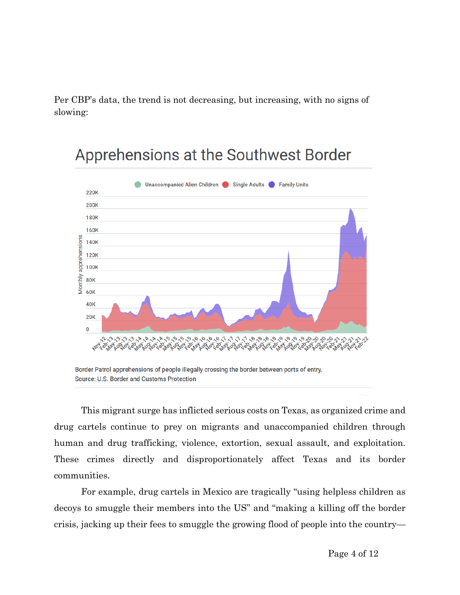Per CBP's data, the trend is not decreasing, but increasing, with no signs of slowing:



# Apprehensions at the Southwest Border

This migrant surge has inflicted serious costs on Texas, as organized crime and drug cartels continue to prey on migrants and unaccompanied children through human and drug trafficking, violence, extortion, sexual assault, and exploitation. These crimes directly and disproportionately affect Texas and its border communities.

For example, drug cartels in Mexico are tragically "using helpless children as decoys to smuggle their members into the US" and "making a killing off the border crisis, jacking up their fees to smuggle the growing flood of people into the country—

Border Patrol apprehensions of people illegally crossing the border between ports of entry. Source: U.S. Border and Customs Protection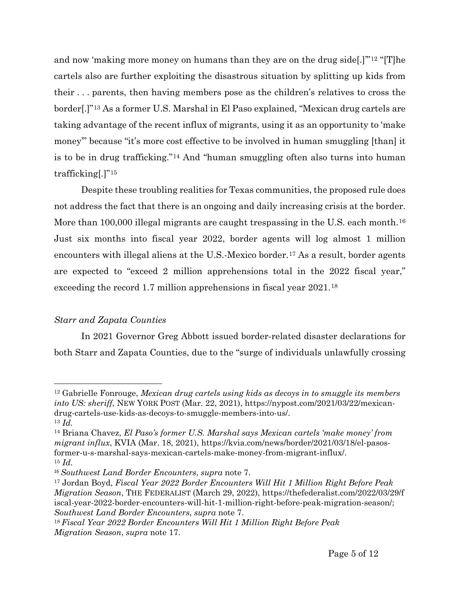and now 'making more money on humans than they are on the drug side[.]'"[12](#page-4-0) "[T]he cartels also are further exploiting the disastrous situation by splitting up kids from their . . . parents, then having members pose as the children's relatives to cross the border[.]"[13](#page-4-1) As a former U.S. Marshal in El Paso explained, "Mexican drug cartels are taking advantage of the recent influx of migrants, using it as an opportunity to 'make money'" because "it's more cost effective to be involved in human smuggling [than] it is to be in drug trafficking."[14](#page-4-2) And "human smuggling often also turns into human trafficking[.]"[15](#page-4-3)

Despite these troubling realities for Texas communities, the proposed rule does not address the fact that there is an ongoing and daily increasing crisis at the border. More than 100,000 illegal migrants are caught trespassing in the U.S. each month.<sup>[16](#page-4-4)</sup> Just six months into fiscal year 2022, border agents will log almost 1 million encounters with illegal aliens at the U.S.-Mexico border.<sup>[17](#page-4-5)</sup> As a result, border agents are expected to "exceed 2 million apprehensions total in the 2022 fiscal year," exceeding the record 1.7 million apprehensions in fiscal year 2021.[18](#page-4-6)

### *Starr and Zapata Counties*

In 2021 Governor Greg Abbott issued border-related disaster declarations for both Starr and Zapata Counties, due to the "surge of individuals unlawfully crossing

<span id="page-4-0"></span><sup>12</sup> Gabrielle Fonrouge, *Mexican drug cartels using kids as decoys in to smuggle its members into US: sheriff*, NEW YORK POST (Mar. 22, 2021), https://nypost.com/2021/03/22/mexicandrug-cartels-use-kids-as-decoys-to-smuggle-members-into-us/. 13 *Id.*

<span id="page-4-2"></span><span id="page-4-1"></span><sup>14</sup> Briana Chavez, *El Paso's former U.S. Marshal says Mexican cartels 'make money' from migrant influx*, KVIA (Mar. 18, 2021), https://kvia.com/news/border/2021/03/18/el-pasosformer-u-s-marshal-says-mexican-cartels-make-money-from-migrant-influx/. <sup>15</sup> *Id.*

<span id="page-4-4"></span><span id="page-4-3"></span><sup>16</sup> *Southwest Land Border Encounters*, *supra* note 7.

<span id="page-4-5"></span><sup>17</sup> Jordan Boyd, *Fiscal Year 2022 Border Encounters Will Hit 1 Million Right Before Peak Migration Season*, THE FEDERALIST (March 29, 2022), https://thefederalist.com/2022/03/29/f iscal-year-2022-border-encounters-will-hit-1-million-right-before-peak-migration-season/; *Southwest Land Border Encounters*, *supra* note 7.

<span id="page-4-6"></span><sup>18</sup> *Fiscal Year 2022 Border Encounters Will Hit 1 Million Right Before Peak Migration Season*, *supra* note 17.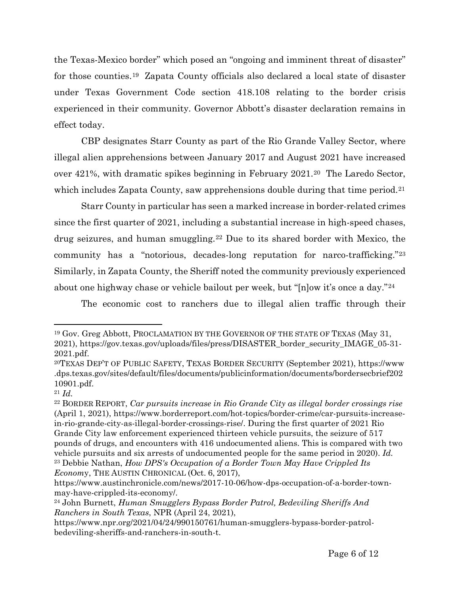the Texas-Mexico border" which posed an "ongoing and imminent threat of disaster" for those counties.[19](#page-5-0) Zapata County officials also declared a local state of disaster under Texas Government Code section 418.108 relating to the border crisis experienced in their community. Governor Abbott's disaster declaration remains in effect today.

CBP designates Starr County as part of the Rio Grande Valley Sector, where illegal alien apprehensions between January 2017 and August 2021 have increased over 421%, with dramatic spikes beginning in February 2021.[20](#page-5-1) The Laredo Sector, which includes Zapata County, saw apprehensions double during that time period.<sup>[21](#page-5-2)</sup>

Starr County in particular has seen a marked increase in border-related crimes since the first quarter of 2021, including a substantial increase in high-speed chases, drug seizures, and human smuggling.[22](#page-5-3) Due to its shared border with Mexico, the community has a "notorious, decades-long reputation for narco-trafficking."[23](#page-5-4) Similarly, in Zapata County, the Sheriff noted the community previously experienced about one highway chase or vehicle bailout per week, but "[n]ow it's once a day."[24](#page-5-5)

The economic cost to ranchers due to illegal alien traffic through their

<span id="page-5-0"></span><sup>19</sup> Gov. Greg Abbott, PROCLAMATION BY THE GOVERNOR OF THE STATE OF TEXAS (May 31, 2021), https://gov.texas.gov/uploads/files/press/DISASTER\_border\_security\_IMAGE\_05-31- 2021.pdf.

<span id="page-5-1"></span><sup>20</sup>TEXAS DEP'T OF PUBLIC SAFETY, TEXAS BORDER SECURITY (September 2021), https://www .dps.texas.gov/sites/default/files/documents/publicinformation/documents/bordersecbrief202 10901.pdf.

<span id="page-5-2"></span><sup>21</sup> *Id.* 

<span id="page-5-3"></span><sup>22</sup> BORDER REPORT, *Car pursuits increase in Rio Grande City as illegal border crossings rise* (April 1, 2021), https://www.borderreport.com/hot-topics/border-crime/car-pursuits-increasein-rio-grande-city-as-illegal-border-crossings-rise/. During the first quarter of 2021 Rio Grande City law enforcement experienced thirteen vehicle pursuits, the seizure of 517 pounds of drugs, and encounters with 416 undocumented aliens. This is compared with two vehicle pursuits and six arrests of undocumented people for the same period in 2020). *Id.* <sup>23</sup> Debbie Nathan, *How DPS's Occupation of a Border Town May Have Crippled Its Econom*y, THE AUSTIN CHRONICAL (Oct. 6, 2017),

<span id="page-5-4"></span>https://www.austinchronicle.com/news/2017-10-06/how-dps-occupation-of-a-border-townmay-have-crippled-its-economy/.

<span id="page-5-5"></span><sup>24</sup> John Burnett, *Human Smugglers Bypass Border Patrol, Bedeviling Sheriffs And Ranchers in South Texas*, NPR (April 24, 2021),

https://www.npr.org/2021/04/24/990150761/human-smugglers-bypass-border-patrolbedeviling-sheriffs-and-ranchers-in-south-t.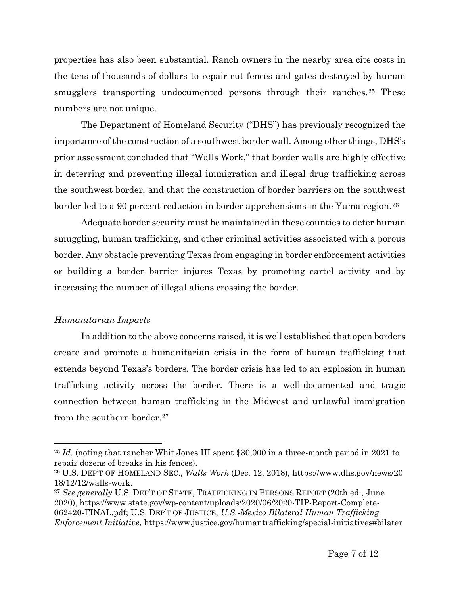properties has also been substantial. Ranch owners in the nearby area cite costs in the tens of thousands of dollars to repair cut fences and gates destroyed by human smugglers transporting undocumented persons through their ranches.<sup>[25](#page-6-0)</sup> These numbers are not unique.

The Department of Homeland Security ("DHS") has previously recognized the importance of the construction of a southwest border wall. Among other things, DHS's prior assessment concluded that "Walls Work," that border walls are highly effective in deterring and preventing illegal immigration and illegal drug trafficking across the southwest border, and that the construction of border barriers on the southwest border led to a 90 percent reduction in border apprehensions in the Yuma region.<sup>[26](#page-6-1)</sup>

Adequate border security must be maintained in these counties to deter human smuggling, human trafficking, and other criminal activities associated with a porous border. Any obstacle preventing Texas from engaging in border enforcement activities or building a border barrier injures Texas by promoting cartel activity and by increasing the number of illegal aliens crossing the border.

### *Humanitarian Impacts*

In addition to the above concerns raised, it is well established that open borders create and promote a humanitarian crisis in the form of human trafficking that extends beyond Texas's borders. The border crisis has led to an explosion in human trafficking activity across the border. There is a well-documented and tragic connection between human trafficking in the Midwest and unlawful immigration from the southern border.<sup>[27](#page-6-2)</sup>

<span id="page-6-0"></span><sup>&</sup>lt;sup>25</sup> *Id.* (noting that rancher Whit Jones III spent \$30,000 in a three-month period in 2021 to repair dozens of breaks in his fences).

<span id="page-6-1"></span><sup>26</sup> U.S. DEP'T OF HOMELAND SEC., *Walls Work* (Dec. 12, 2018), https://www.dhs.gov/news/20 18/12/12/walls-work.

<span id="page-6-2"></span><sup>27</sup> *See generally* U.S. DEP'T OF STATE, TRAFFICKING IN PERSONS REPORT (20th ed., June 2020), https://www.state.gov/wp-content/uploads/2020/06/2020-TIP-Report-Complete-062420-FINAL.pdf; U.S. DEP'T OF JUSTICE, *U.S.-Mexico Bilateral Human Trafficking Enforcement Initiative*, https://www.justice.gov/humantrafficking/special-initiatives#bilater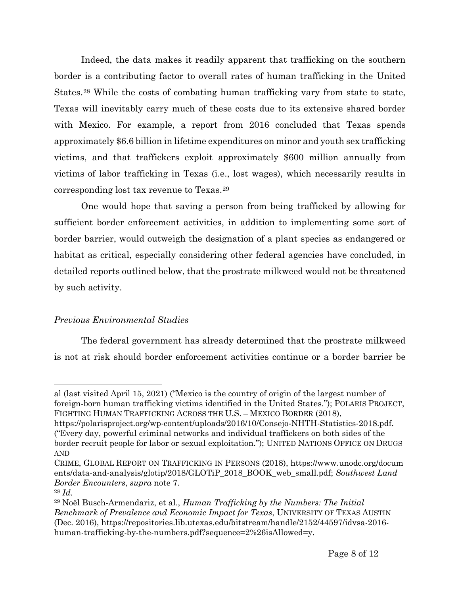Indeed, the data makes it readily apparent that trafficking on the southern border is a contributing factor to overall rates of human trafficking in the United States.[28](#page-7-0) While the costs of combating human trafficking vary from state to state, Texas will inevitably carry much of these costs due to its extensive shared border with Mexico. For example, a report from 2016 concluded that Texas spends approximately \$6.6 billion in lifetime expenditures on minor and youth sex trafficking victims, and that traffickers exploit approximately \$600 million annually from victims of labor trafficking in Texas (i.e., lost wages), which necessarily results in corresponding lost tax revenue to Texas.[29](#page-7-1)

One would hope that saving a person from being trafficked by allowing for sufficient border enforcement activities, in addition to implementing some sort of border barrier, would outweigh the designation of a plant species as endangered or habitat as critical, especially considering other federal agencies have concluded, in detailed reports outlined below, that the prostrate milkweed would not be threatened by such activity.

### *Previous Environmental Studies*

The federal government has already determined that the prostrate milkweed is not at risk should border enforcement activities continue or a border barrier be

al (last visited April 15, 2021) ("Mexico is the country of origin of the largest number of foreign-born human trafficking victims identified in the United States."); POLARIS PROJECT, FIGHTING HUMAN TRAFFICKING ACROSS THE U.S. – MEXICO BORDER (2018),

https://polarisproject.org/wp-content/uploads/2016/10/Consejo-NHTH-Statistics-2018.pdf. ("Every day, powerful criminal networks and individual traffickers on both sides of the border recruit people for labor or sexual exploitation."); UNITED NATIONS OFFICE ON DRUGS AND

CRIME, GLOBAL REPORT ON TRAFFICKING IN PERSONS (2018), https://www.unodc.org/docum ents/data-and-analysis/glotip/2018/GLOTiP\_2018\_BOOK\_web\_small.pdf; *Southwest Land Border Encounters*, *supra* note 7.

<span id="page-7-0"></span><sup>28</sup> *Id.*

<span id="page-7-1"></span><sup>29</sup> Noël Busch-Armendariz, et al., *Human Trafficking by the Numbers: The Initial Benchmark of Prevalence and Economic Impact for Texas*, UNIVERSITY OF TEXAS AUSTIN (Dec. 2016), https://repositories.lib.utexas.edu/bitstream/handle/2152/44597/idvsa-2016 human-trafficking-by-the-numbers.pdf?sequence=2%26isAllowed=y.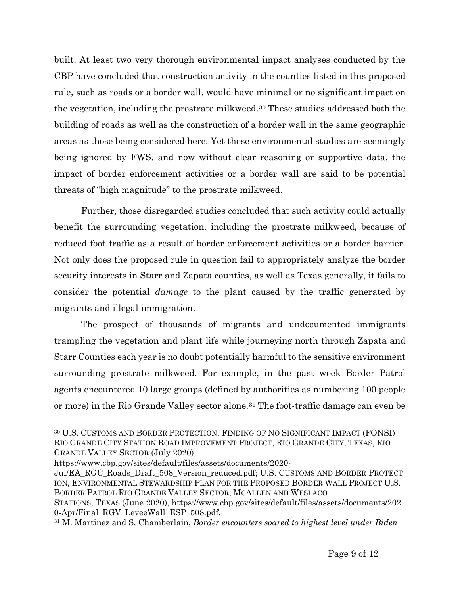built. At least two very thorough environmental impact analyses conducted by the CBP have concluded that construction activity in the counties listed in this proposed rule, such as roads or a border wall, would have minimal or no significant impact on the vegetation, including the prostrate milkweed.[30](#page-8-0) These studies addressed both the building of roads as well as the construction of a border wall in the same geographic areas as those being considered here. Yet these environmental studies are seemingly being ignored by FWS, and now without clear reasoning or supportive data, the impact of border enforcement activities or a border wall are said to be potential threats of "high magnitude" to the prostrate milkweed.

Further, those disregarded studies concluded that such activity could actually benefit the surrounding vegetation, including the prostrate milkweed, because of reduced foot traffic as a result of border enforcement activities or a border barrier. Not only does the proposed rule in question fail to appropriately analyze the border security interests in Starr and Zapata counties, as well as Texas generally, it fails to consider the potential *damage* to the plant caused by the traffic generated by migrants and illegal immigration.

The prospect of thousands of migrants and undocumented immigrants trampling the vegetation and plant life while journeying north through Zapata and Starr Counties each year is no doubt potentially harmful to the sensitive environment surrounding prostrate milkweed. For example, in the past week Border Patrol agents encountered 10 large groups (defined by authorities as numbering 100 people or more) in the Rio Grande Valley sector alone.[31](#page-8-1) The foot-traffic damage can even be

https://www.cbp.gov/sites/default/files/assets/documents/2020-

<span id="page-8-0"></span><sup>30</sup> U.S. CUSTOMS AND BORDER PROTECTION, FINDING OF NO SIGNIFICANT IMPACT (FONSI) RIO GRANDE CITY STATION ROAD IMPROVEMENT PROJECT, RIO GRANDE CITY, TEXAS, RIO GRANDE VALLEY SECTOR (July 2020),

Jul/EA\_RGC\_Roads\_Draft\_508\_Version\_reduced.pdf; U.S. CUSTOMS AND BORDER PROTECT ION, ENVIRONMENTAL STEWARDSHIP PLAN FOR THE PROPOSED BORDER WALL PROJECT U.S. BORDER PATROL RIO GRANDE VALLEY SECTOR, MCALLEN AND WESLACO

STATIONS, TEXAS (June 2020), https://www.cbp.gov/sites/default/files/assets/documents/202 0-Apr/Final\_RGV\_LeveeWall\_ESP\_508.pdf.

<span id="page-8-1"></span><sup>31</sup> M. Martinez and S. Chamberlain, *Border encounters soared to highest level under Biden*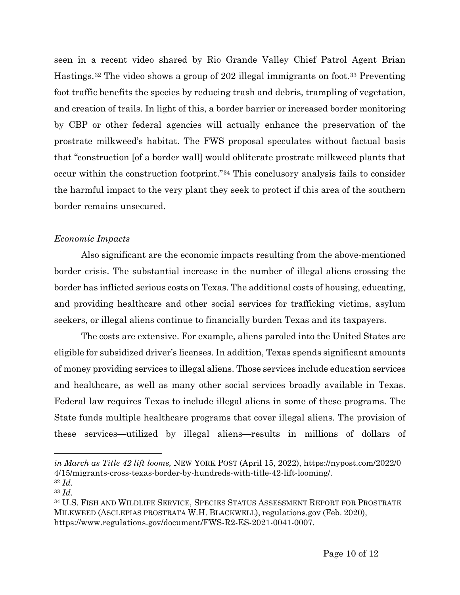seen in a recent video shared by Rio Grande Valley Chief Patrol Agent Brian Hastings.[32](#page-9-0) The video shows a group of 202 illegal immigrants on foot.[33](#page-9-1) Preventing foot traffic benefits the species by reducing trash and debris, trampling of vegetation, and creation of trails. In light of this, a border barrier or increased border monitoring by CBP or other federal agencies will actually enhance the preservation of the prostrate milkweed's habitat. The FWS proposal speculates without factual basis that "construction [of a border wall] would obliterate prostrate milkweed plants that occur within the construction footprint."[34](#page-9-2) This conclusory analysis fails to consider the harmful impact to the very plant they seek to protect if this area of the southern border remains unsecured.

#### *Economic Impacts*

Also significant are the economic impacts resulting from the above-mentioned border crisis. The substantial increase in the number of illegal aliens crossing the border has inflicted serious costs on Texas. The additional costs of housing, educating, and providing healthcare and other social services for trafficking victims, asylum seekers, or illegal aliens continue to financially burden Texas and its taxpayers.

The costs are extensive. For example, aliens paroled into the United States are eligible for subsidized driver's licenses. In addition, Texas spends significant amounts of money providing services to illegal aliens. Those services include education services and healthcare, as well as many other social services broadly available in Texas. Federal law requires Texas to include illegal aliens in some of these programs. The State funds multiple healthcare programs that cover illegal aliens. The provision of these services—utilized by illegal aliens—results in millions of dollars of

*in March as Title 42 lift looms,* NEW YORK POST (April 15, 2022), https://nypost.com/2022/0 4/15/migrants-cross-texas-border-by-hundreds-with-title-42-lift-looming/. 32 *Id.*

<span id="page-9-0"></span>

<span id="page-9-1"></span><sup>33</sup> *Id.*

<span id="page-9-2"></span><sup>34</sup> U.S. FISH AND WILDLIFE SERVICE, SPECIES STATUS ASSESSMENT REPORT FOR PROSTRATE MILKWEED (ASCLEPIAS PROSTRATA W.H. BLACKWELL), regulations.gov (Feb. 2020), https://www.regulations.gov/document/FWS-R2-ES-2021-0041-0007.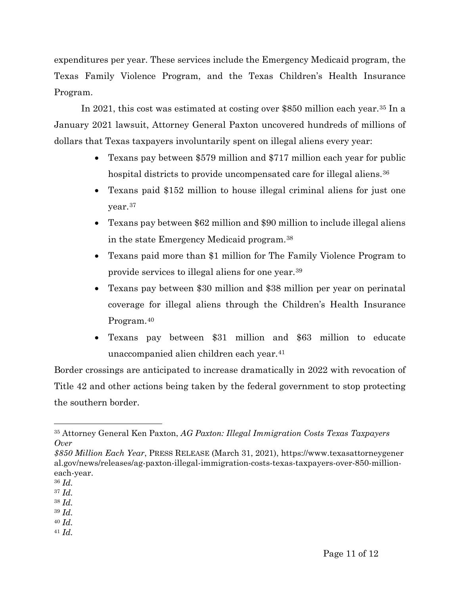expenditures per year. These services include the Emergency Medicaid program, the Texas Family Violence Program, and the Texas Children's Health Insurance Program.

In 2021, this cost was estimated at costing over \$850 million each year.[35](#page-10-0) In a January 2021 lawsuit, Attorney General Paxton uncovered hundreds of millions of dollars that Texas taxpayers involuntarily spent on illegal aliens every year:

- Texans pay between \$579 million and \$717 million each year for public hospital districts to provide uncompensated care for illegal aliens.<sup>[36](#page-10-1)</sup>
- Texans paid \$152 million to house illegal criminal aliens for just one year.[37](#page-10-2)
- Texans pay between \$62 million and \$90 million to include illegal aliens in the state Emergency Medicaid program.[38](#page-10-3)
- Texans paid more than \$1 million for The Family Violence Program to provide services to illegal aliens for one year.[39](#page-10-4)
- Texans pay between \$30 million and \$38 million per year on perinatal coverage for illegal aliens through the Children's Health Insurance Program.[40](#page-10-5)
- Texans pay between \$31 million and \$63 million to educate unaccompanied alien children each year.[41](#page-10-6)

Border crossings are anticipated to increase dramatically in 2022 with revocation of Title 42 and other actions being taken by the federal government to stop protecting the southern border.

- <span id="page-10-2"></span><sup>37</sup> *Id.*
- <span id="page-10-3"></span><sup>38</sup> *Id.* <sup>39</sup> *Id.*
- <span id="page-10-5"></span><span id="page-10-4"></span><sup>40</sup> *Id.*
- <span id="page-10-6"></span><sup>41</sup> *Id.*

<span id="page-10-0"></span><sup>35</sup> Attorney General Ken Paxton, *AG Paxton: Illegal Immigration Costs Texas Taxpayers Over* 

*<sup>\$850</sup> Million Each Year*, PRESS RELEASE (March 31, 2021), https://www.texasattorneygener al.gov/news/releases/ag-paxton-illegal-immigration-costs-texas-taxpayers-over-850-millioneach-year.

<span id="page-10-1"></span><sup>36</sup> *Id.*